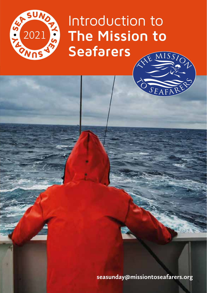

Introduction to **The Mission to Seafarers**

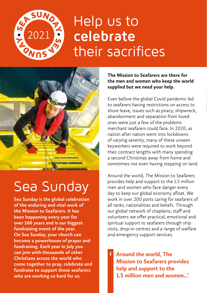

## Help us to **celebrate**  their sacrifices



## Sea Sunday

**Sea Sunday is the global celebration of the enduring and vital work of the Mission to Seafarers. It has been happening every year for over 160 years and is our biggest fundraising event of the year. On Sea Sunday, your church can become a powerhouse of prayer and fundraising. Each year in July you can join with thousands of other Christians across the world who come together to pray, celebrate and fundraise to support those seafarers who are working so hard for us.**

#### **The Mission to Seafarers are there for the men and women who keep the world supplied but we need your help.**

Even before the global Covid pandemic led to seafarers having restrictions on access to shore leave, issues such as piracy, shipwreck, abandonment and separation from loved ones were just a few of the problems merchant seafarers could face. In 2020, as nation after nation went into lockdowns of varying severity, many of these unseen keyworkers were required to work beyond their contract lengths with many spending a second Christmas away from home and sometimes not even having stepping on land.

Around the world, The Mission to Seafarers provides help and support to the 1.5 million men and women who face danger every day to keep our global economy afloat. We work in over 200 ports caring for seafarers of all ranks, nationalities and beliefs. Through our global network of chaplains, staff and volunteers we offer practical, emotional and spiritual support to seafarers through ship visits, drop-in centres and a range of welfare and emergency support services.

**Around the world, The Mission to Seafarers provides help and support to the 1.5 million men and women...'** '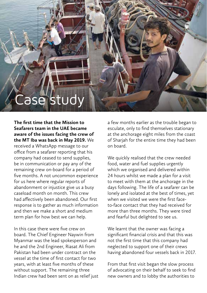

**The first time that the Mission to Seafarers team in the UAE became aware of the issues facing the crew of the MT Iba was back in May 2019.** We received a WhatsApp message to our office from a seafarer reporting that his company had ceased to send supplies, be in communication or pay any of the remaining crew on-board for a period of

five months. A not uncommon experience for us here where regular reports of abandonment or injustice give us a busy caseload month on month. This crew had affectively been abandoned. Our first response is to gather as much information and then we make a short and medium term plan for how best we can help.

In this case there were five crew on board. The Chief Engineer Naywin from Myanmar was the lead spokesperson and he and the 2nd Engineer, Riasat Ali from Pakistan had been under contract on the vessel at the time of first contact for two years, with at least five months of these without support. The remaining three Indian crew had been sent on as relief just a few months earlier as the trouble began to esculate, only to find themselves stationary at the anchorage eight miles from the coast of Sharjah for the entire time they had been on board.

We quickly realised that the crew needed food, water and fuel supplies urgently which we organised and delivered within 24 hours whilst we made a plan for a visit to meet with them at the anchorage in the days following. The life of a seafarer can be lonely and isolated at the best of times, yet when we visited we were the first faceto-face contact that they had received for more than three months. They were tired and fearful but delighted to see us.

We learnt that the owner was facing a significant financial crisis and that this was not the first time that this company had neglected to support one of their crews having abandoned four vessels back in 2017.

From that first visit began the slow process of advocating on their behalf to seek to find new owners and to lobby the authorities to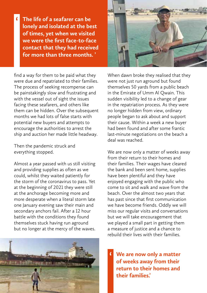**The life of a seafarer can be lonely and isolated at the best of times, yet when we visited we were the first face-to-face contact that they had received for more than three months. '**

'

find a way for them to be paid what they were due and repatriated to their families. The process of seeking recompense can be painstakingly slow and frustrating and with the vessel out of sight the issues facing these seafarers, and others like them can be hidden. Over the subsequent months we had lots of false starts with potential new buyers and attempts to encourage the authorities to arrest the ship and auction her made little headway.

Then the pandemic struck and everything stopped.

Almost a year passed with us still visiting and providing supplies as often as we could, whilst they waited patiently for the storm of the coronavirus to pass. Yet at the beginning of 2021 they were still at the anchorage becoming more and more desperate when a literal storm late one January evening saw their main and secondary anchors fail. After a 12 hour battle with the conditions they found themselves stuck having run aground but no longer at the mercy of the waves.





When dawn broke they realised that they were not just run aground but found themselves 50 yards from a public beach in the Emirate of Umm Al Qwain. This sudden visibility led to a change of gear in the repatriation process. As they were no longer hidden from view, ordinary people began to ask about and support their cause. Within a week a new buyer had been found and after some frantic last-minute negotiations on the beach a deal was reached.

We are now only a matter of weeks away from their return to their homes and their families. Their wages have cleared the bank and been sent home, supplies have been plentiful and they have enjoyed engaging with the public who come to sit and walk and wave from the beach. Over the almost two years that has past since that first communication we have become friends. Oddly we will miss our regular visits and conversations but we will take encouragement that we played a small part in getting them a measure of justice and a chance to rebuild their lives with their families.

**We are now only a matter of weeks away from their return to their homes and their families.'** '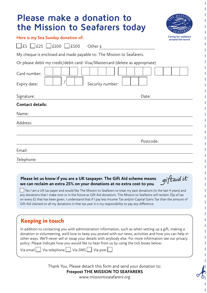|  |  | Please make a donation to      |  |
|--|--|--------------------------------|--|
|  |  | the Mission to Seafarers today |  |



#### **Here is my Sea Sunday donation of:**

 $\Box$  £5  $\Box$  £100  $\Box$  £500 Other £

My cheque is enclosed and made payable to: The Mission to Seafarers.

Or please debit my credit/debit card: Visa/Mastercard (delete as appropriate)

| Card number:<br>Expiry date: | Security number: |
|------------------------------|------------------|
| Signature:                   | Date:            |
| <b>Contact details:</b>      |                  |
| Name:                        |                  |
| Address:                     |                  |
|                              | Postcode:        |
| Email:                       |                  |
| Telephone:                   |                  |

#### **Please let us know if you are a UK taxpayer. The Gift Aid scheme means we can reclaim an extra 25% on your donations at no extra cost to you**.

giftaidit

 $\Box$  Yes I am a UK tax payer and would like The Mission to Seafarers to treat my past donations (in the last 4 years) and any donations that I make now or in the future as Gift Aid donations. The Mission to Seafarers will reclaim 25p of tax on every £1 that has been given. I understand that if I pay less Income Tax and/or Capital Gains Tax than the amount of Gift Aid claimed on all my donations in that tax year it is my responsibility to pay any difference.

| <b>Keeping in touch</b>                                                                                                                                                                                                                                                                                                                                                                                                                                                                               |
|-------------------------------------------------------------------------------------------------------------------------------------------------------------------------------------------------------------------------------------------------------------------------------------------------------------------------------------------------------------------------------------------------------------------------------------------------------------------------------------------------------|
| In addition to contacting you with administration information, such as when setting up a gift, making a<br>donation or volunteering, we'd love to keep you posted with our news, activities and how you can help in<br>other ways. We'll never sell or swap your details with anybody else. For more information see our privacy<br>policy. Please indicate how you would like to hear from us by using the tick boxes below:<br>Via email $\Box$ Via telephone $\Box$ Via SMS $\Box$ Via post $\Box$ |
|                                                                                                                                                                                                                                                                                                                                                                                                                                                                                                       |

Thank You. Please detach this form and send your donation to: **Freepost THE MISSION TO SEAFARERS**

www.missiontoseafarers.org